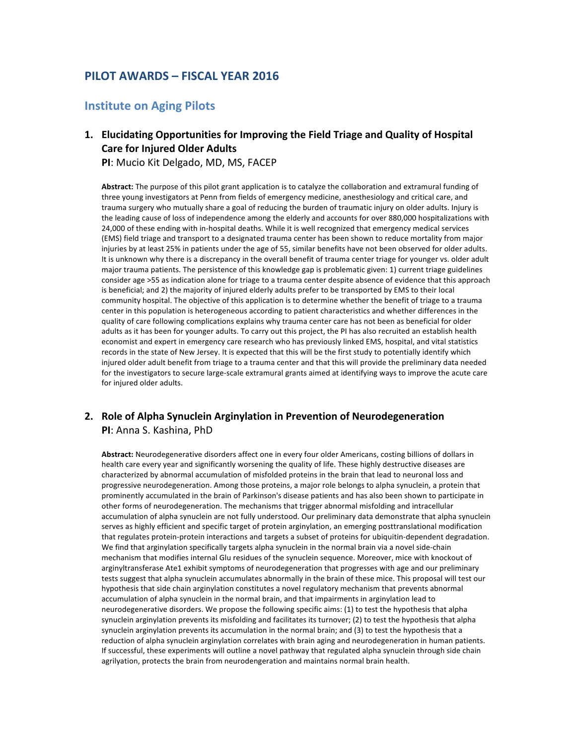# **PILOT AWARDS – FISCAL YEAR 2016**

## **Institute on Aging Pilots**

## 1. Elucidating Opportunities for Improving the Field Triage and Quality of Hospital **Care for Injured Older Adults**

**PI:** Mucio Kit Delgado, MD, MS, FACEP

Abstract: The purpose of this pilot grant application is to catalyze the collaboration and extramural funding of three young investigators at Penn from fields of emergency medicine, anesthesiology and critical care, and trauma surgery who mutually share a goal of reducing the burden of traumatic injury on older adults. Injury is the leading cause of loss of independence among the elderly and accounts for over 880,000 hospitalizations with 24,000 of these ending with in-hospital deaths. While it is well recognized that emergency medical services (EMS) field triage and transport to a designated trauma center has been shown to reduce mortality from major injuries by at least 25% in patients under the age of 55, similar benefits have not been observed for older adults. It is unknown why there is a discrepancy in the overall benefit of trauma center triage for younger vs. older adult major trauma patients. The persistence of this knowledge gap is problematic given: 1) current triage guidelines consider age >55 as indication alone for triage to a trauma center despite absence of evidence that this approach is beneficial; and 2) the majority of injured elderly adults prefer to be transported by EMS to their local community hospital. The objective of this application is to determine whether the benefit of triage to a trauma center in this population is heterogeneous according to patient characteristics and whether differences in the quality of care following complications explains why trauma center care has not been as beneficial for older adults as it has been for younger adults. To carry out this project, the PI has also recruited an establish health economist and expert in emergency care research who has previously linked EMS, hospital, and vital statistics records in the state of New Jersey. It is expected that this will be the first study to potentially identify which injured older adult benefit from triage to a trauma center and that this will provide the preliminary data needed for the investigators to secure large-scale extramural grants aimed at identifying ways to improve the acute care for injured older adults.

#### **2.** Role of Alpha Synuclein Arginylation in Prevention of Neurodegeneration **PI:** Anna S. Kashina, PhD

Abstract: Neurodegenerative disorders affect one in every four older Americans, costing billions of dollars in health care every year and significantly worsening the quality of life. These highly destructive diseases are characterized by abnormal accumulation of misfolded proteins in the brain that lead to neuronal loss and progressive neurodegeneration. Among those proteins, a major role belongs to alpha synuclein, a protein that prominently accumulated in the brain of Parkinson's disease patients and has also been shown to participate in other forms of neurodegeneration. The mechanisms that trigger abnormal misfolding and intracellular accumulation of alpha synuclein are not fully understood. Our preliminary data demonstrate that alpha synuclein serves as highly efficient and specific target of protein arginylation, an emerging posttranslational modification that regulates protein-protein interactions and targets a subset of proteins for ubiquitin-dependent degradation. We find that arginylation specifically targets alpha synuclein in the normal brain via a novel side-chain mechanism that modifies internal Glu residues of the synuclein sequence. Moreover, mice with knockout of arginyltransferase Ate1 exhibit symptoms of neurodegeneration that progresses with age and our preliminary tests suggest that alpha synuclein accumulates abnormally in the brain of these mice. This proposal will test our hypothesis that side chain arginylation constitutes a novel regulatory mechanism that prevents abnormal accumulation of alpha synuclein in the normal brain, and that impairments in arginylation lead to neurodegenerative disorders. We propose the following specific aims: (1) to test the hypothesis that alpha synuclein arginylation prevents its misfolding and facilitates its turnover; (2) to test the hypothesis that alpha synuclein arginylation prevents its accumulation in the normal brain; and (3) to test the hypothesis that a reduction of alpha synuclein arginylation correlates with brain aging and neurodegeneration in human patients. If successful, these experiments will outline a novel pathway that regulated alpha synuclein through side chain agrilyation, protects the brain from neurodengeration and maintains normal brain health.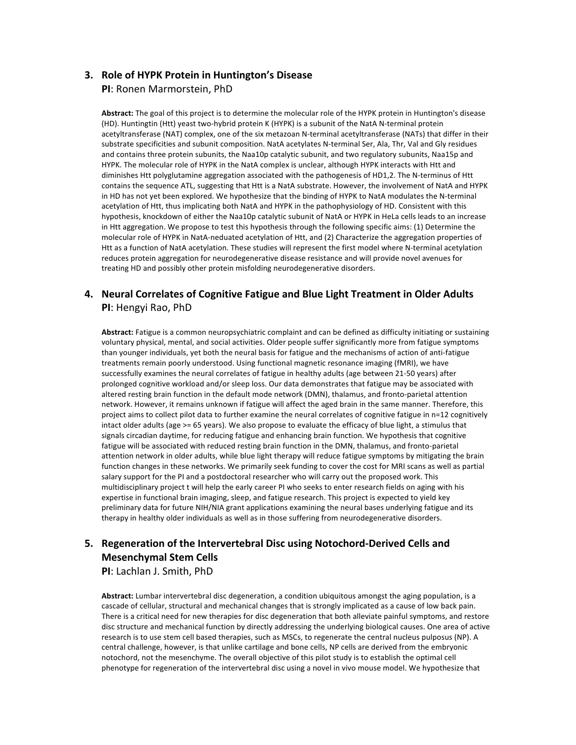#### **3. Role of HYPK Protein in Huntington's Disease PI:** Ronen Marmorstein, PhD

Abstract: The goal of this project is to determine the molecular role of the HYPK protein in Huntington's disease (HD). Huntingtin (Htt) yeast two-hybrid protein K (HYPK) is a subunit of the NatA N-terminal protein acetyltransferase (NAT) complex, one of the six metazoan N-terminal acetyltransferase (NATs) that differ in their substrate specificities and subunit composition. NatA acetylates N-terminal Ser, Ala, Thr, Val and Gly residues and contains three protein subunits, the Naa10p catalytic subunit, and two regulatory subunits, Naa15p and HYPK. The molecular role of HYPK in the NatA complex is unclear, although HYPK interacts with Htt and diminishes Htt polyglutamine aggregation associated with the pathogenesis of HD1,2. The N-terminus of Htt contains the sequence ATL, suggesting that Htt is a NatA substrate. However, the involvement of NatA and HYPK in HD has not yet been explored. We hypothesize that the binding of HYPK to NatA modulates the N-terminal acetylation of Htt, thus implicating both NatA and HYPK in the pathophysiology of HD. Consistent with this hypothesis, knockdown of either the Naa10p catalytic subunit of NatA or HYPK in HeLa cells leads to an increase in Htt aggregation. We propose to test this hypothesis through the following specific aims: (1) Determine the molecular role of HYPK in NatA-neduated acetylation of Htt, and (2) Characterize the aggregation properties of Htt as a function of NatA acetylation. These studies will represent the first model where N-terminal acetylation reduces protein aggregation for neurodegenerative disease resistance and will provide novel avenues for treating HD and possibly other protein misfolding neurodegenerative disorders.

#### 4. Neural Correlates of Cognitive Fatigue and Blue Light Treatment in Older Adults **PI:** Hengyi Rao, PhD

Abstract: Fatigue is a common neuropsychiatric complaint and can be defined as difficulty initiating or sustaining voluntary physical, mental, and social activities. Older people suffer significantly more from fatigue symptoms than younger individuals, yet both the neural basis for fatigue and the mechanisms of action of anti-fatigue treatments remain poorly understood. Using functional magnetic resonance imaging (fMRI), we have successfully examines the neural correlates of fatigue in healthy adults (age between 21-50 years) after prolonged cognitive workload and/or sleep loss. Our data demonstrates that fatigue may be associated with altered resting brain function in the default mode network (DMN), thalamus, and fronto-parietal attention network. However, it remains unknown if fatigue will affect the aged brain in the same manner. Therefore, this project aims to collect pilot data to further examine the neural correlates of cognitive fatigue in n=12 cognitively intact older adults (age >= 65 years). We also propose to evaluate the efficacy of blue light, a stimulus that signals circadian daytime, for reducing fatigue and enhancing brain function. We hypothesis that cognitive fatigue will be associated with reduced resting brain function in the DMN, thalamus, and fronto-parietal attention network in older adults, while blue light therapy will reduce fatigue symptoms by mitigating the brain function changes in these networks. We primarily seek funding to cover the cost for MRI scans as well as partial salary support for the PI and a postdoctoral researcher who will carry out the proposed work. This multidisciplinary project t will help the early career PI who seeks to enter research fields on aging with his expertise in functional brain imaging, sleep, and fatigue research. This project is expected to yield key preliminary data for future NIH/NIA grant applications examining the neural bases underlying fatigue and its therapy in healthy older individuals as well as in those suffering from neurodegenerative disorders.

## **5.** Regeneration of the Intervertebral Disc using Notochord-Derived Cells and **Mesenchymal Stem Cells**

**PI:** Lachlan J. Smith, PhD

Abstract: Lumbar intervertebral disc degeneration, a condition ubiquitous amongst the aging population, is a cascade of cellular, structural and mechanical changes that is strongly implicated as a cause of low back pain. There is a critical need for new therapies for disc degeneration that both alleviate painful symptoms, and restore disc structure and mechanical function by directly addressing the underlying biological causes. One area of active research is to use stem cell based therapies, such as MSCs, to regenerate the central nucleus pulposus (NP). A central challenge, however, is that unlike cartilage and bone cells, NP cells are derived from the embryonic notochord, not the mesenchyme. The overall objective of this pilot study is to establish the optimal cell phenotype for regeneration of the intervertebral disc using a novel in vivo mouse model. We hypothesize that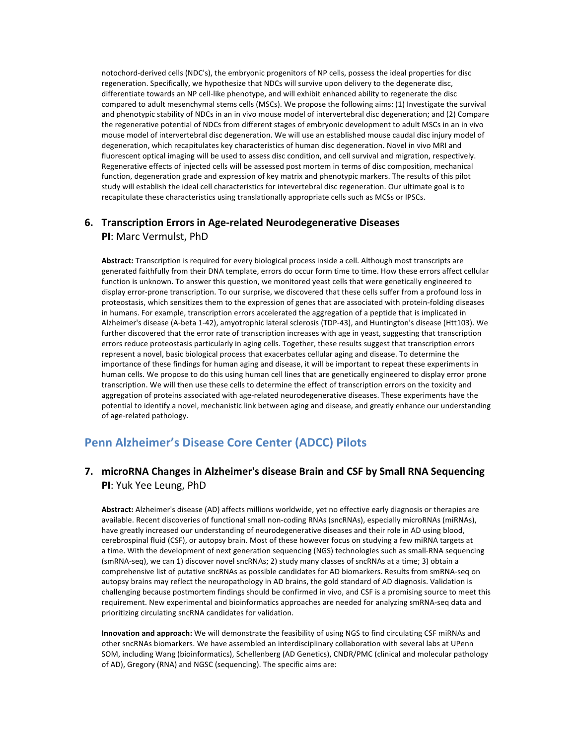notochord-derived cells (NDC's), the embryonic progenitors of NP cells, possess the ideal properties for disc regeneration. Specifically, we hypothesize that NDCs will survive upon delivery to the degenerate disc, differentiate towards an NP cell-like phenotype, and will exhibit enhanced ability to regenerate the disc compared to adult mesenchymal stems cells (MSCs). We propose the following aims: (1) Investigate the survival and phenotypic stability of NDCs in an in vivo mouse model of intervertebral disc degeneration; and (2) Compare the regenerative potential of NDCs from different stages of embryonic development to adult MSCs in an in vivo mouse model of intervertebral disc degeneration. We will use an established mouse caudal disc injury model of degeneration, which recapitulates key characteristics of human disc degeneration. Novel in vivo MRI and fluorescent optical imaging will be used to assess disc condition, and cell survival and migration, respectively. Regenerative effects of injected cells will be assessed post mortem in terms of disc composition, mechanical function, degeneration grade and expression of key matrix and phenotypic markers. The results of this pilot study will establish the ideal cell characteristics for intevertebral disc regeneration. Our ultimate goal is to recapitulate these characteristics using translationally appropriate cells such as MCSs or IPSCs.

#### **6. Transcription Errors in Age-related Neurodegenerative Diseases PI:** Marc Vermulst, PhD

Abstract: Transcription is required for every biological process inside a cell. Although most transcripts are generated faithfully from their DNA template, errors do occur form time to time. How these errors affect cellular function is unknown. To answer this question, we monitored yeast cells that were genetically engineered to display error-prone transcription. To our surprise, we discovered that these cells suffer from a profound loss in proteostasis, which sensitizes them to the expression of genes that are associated with protein-folding diseases in humans. For example, transcription errors accelerated the aggregation of a peptide that is implicated in Alzheimer's disease (A-beta 1-42), amyotrophic lateral sclerosis (TDP-43), and Huntington's disease (Htt103). We further discovered that the error rate of transcription increases with age in yeast, suggesting that transcription errors reduce proteostasis particularly in aging cells. Together, these results suggest that transcription errors represent a novel, basic biological process that exacerbates cellular aging and disease. To determine the importance of these findings for human aging and disease, it will be important to repeat these experiments in human cells. We propose to do this using human cell lines that are genetically engineered to display error prone transcription. We will then use these cells to determine the effect of transcription errors on the toxicity and aggregation of proteins associated with age-related neurodegenerative diseases. These experiments have the potential to identify a novel, mechanistic link between aging and disease, and greatly enhance our understanding of age-related pathology.

# **Penn Alzheimer's Disease Core Center (ADCC) Pilots**

## **7.** microRNA Changes in Alzheimer's disease Brain and CSF by Small RNA Sequencing **PI:** Yuk Yee Leung, PhD

Abstract: Alzheimer's disease (AD) affects millions worldwide, yet no effective early diagnosis or therapies are available. Recent discoveries of functional small non-coding RNAs (sncRNAs), especially microRNAs (miRNAs), have greatly increased our understanding of neurodegenerative diseases and their role in AD using blood, cerebrospinal fluid (CSF), or autopsy brain. Most of these however focus on studying a few miRNA targets at a time. With the development of next generation sequencing (NGS) technologies such as small-RNA sequencing (smRNA-seq), we can 1) discover novel sncRNAs; 2) study many classes of sncRNAs at a time; 3) obtain a comprehensive list of putative sncRNAs as possible candidates for AD biomarkers. Results from smRNA-seg on autopsy brains may reflect the neuropathology in AD brains, the gold standard of AD diagnosis. Validation is challenging because postmortem findings should be confirmed in vivo, and CSF is a promising source to meet this requirement. New experimental and bioinformatics approaches are needed for analyzing smRNA-seq data and prioritizing circulating sncRNA candidates for validation.

**Innovation and approach:** We will demonstrate the feasibility of using NGS to find circulating CSF miRNAs and other sncRNAs biomarkers. We have assembled an interdisciplinary collaboration with several labs at UPenn SOM, including Wang (bioinformatics), Schellenberg (AD Genetics), CNDR/PMC (clinical and molecular pathology of AD), Gregory (RNA) and NGSC (sequencing). The specific aims are: